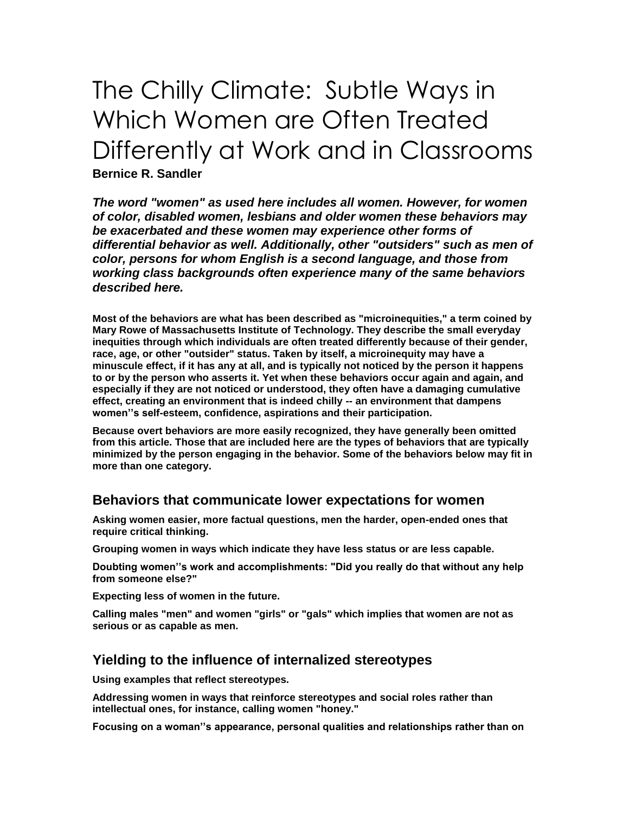The Chilly Climate: Subtle Ways in Which Women are Often Treated Differently at Work and in Classrooms **Bernice R. Sandler**

*The word "women" as used here includes all women. However, for women of color, disabled women, lesbians and older women these behaviors may be exacerbated and these women may experience other forms of differential behavior as well. Additionally, other "outsiders" such as men of color, persons for whom English is a second language, and those from working class backgrounds often experience many of the same behaviors described here.*

**Most of the behaviors are what has been described as "microinequities," a term coined by Mary Rowe of Massachusetts Institute of Technology. They describe the small everyday inequities through which individuals are often treated differently because of their gender, race, age, or other "outsider" status. Taken by itself, a microinequity may have a minuscule effect, if it has any at all, and is typically not noticed by the person it happens to or by the person who asserts it. Yet when these behaviors occur again and again, and especially if they are not noticed or understood, they often have a damaging cumulative effect, creating an environment that is indeed chilly -- an environment that dampens women''s self-esteem, confidence, aspirations and their participation.** 

**Because overt behaviors are more easily recognized, they have generally been omitted from this article. Those that are included here are the types of behaviors that are typically minimized by the person engaging in the behavior. Some of the behaviors below may fit in more than one category.** 

#### **Behaviors that communicate lower expectations for women**

**Asking women easier, more factual questions, men the harder, open-ended ones that require critical thinking.**

**Grouping women in ways which indicate they have less status or are less capable.**

**Doubting women''s work and accomplishments: "Did you really do that without any help from someone else?"**

**Expecting less of women in the future.**

**Calling males "men" and women "girls" or "gals" which implies that women are not as serious or as capable as men.**

### **Yielding to the influence of internalized stereotypes**

**Using examples that reflect stereotypes.**

**Addressing women in ways that reinforce stereotypes and social roles rather than intellectual ones, for instance, calling women "honey."**

**Focusing on a woman''s appearance, personal qualities and relationships rather than on**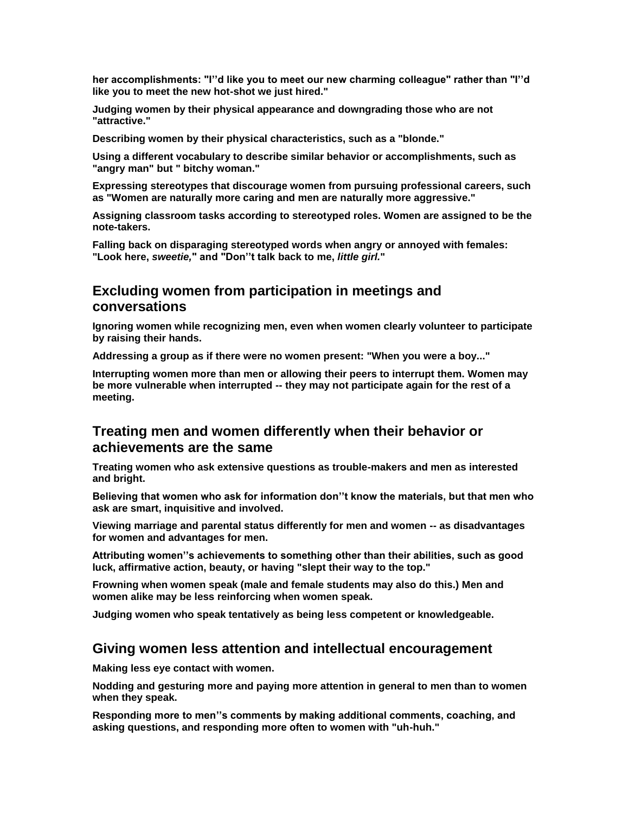**her accomplishments: "I''d like you to meet our new charming colleague" rather than "I''d like you to meet the new hot-shot we just hired."**

**Judging women by their physical appearance and downgrading those who are not "attractive."**

**Describing women by their physical characteristics, such as a "blonde."**

**Using a different vocabulary to describe similar behavior or accomplishments, such as "angry man" but " bitchy woman."**

**Expressing stereotypes that discourage women from pursuing professional careers, such as "Women are naturally more caring and men are naturally more aggressive."**

**Assigning classroom tasks according to stereotyped roles. Women are assigned to be the note-takers.**

**Falling back on disparaging stereotyped words when angry or annoyed with females: "Look here,** *sweetie,***" and "Don''t talk back to me,** *little girl.***"**

## **Excluding women from participation in meetings and conversations**

**Ignoring women while recognizing men, even when women clearly volunteer to participate by raising their hands.**

**Addressing a group as if there were no women present: "When you were a boy..."**

**Interrupting women more than men or allowing their peers to interrupt them. Women may be more vulnerable when interrupted -- they may not participate again for the rest of a meeting.**

## **Treating men and women differently when their behavior or achievements are the same**

**Treating women who ask extensive questions as trouble-makers and men as interested and bright.**

**Believing that women who ask for information don''t know the materials, but that men who ask are smart, inquisitive and involved.**

**Viewing marriage and parental status differently for men and women -- as disadvantages for women and advantages for men.**

**Attributing women''s achievements to something other than their abilities, such as good luck, affirmative action, beauty, or having "slept their way to the top."**

**Frowning when women speak (male and female students may also do this.) Men and women alike may be less reinforcing when women speak.**

**Judging women who speak tentatively as being less competent or knowledgeable.**

### **Giving women less attention and intellectual encouragement**

**Making less eye contact with women.**

**Nodding and gesturing more and paying more attention in general to men than to women when they speak.**

**Responding more to men''s comments by making additional comments, coaching, and asking questions, and responding more often to women with "uh-huh."**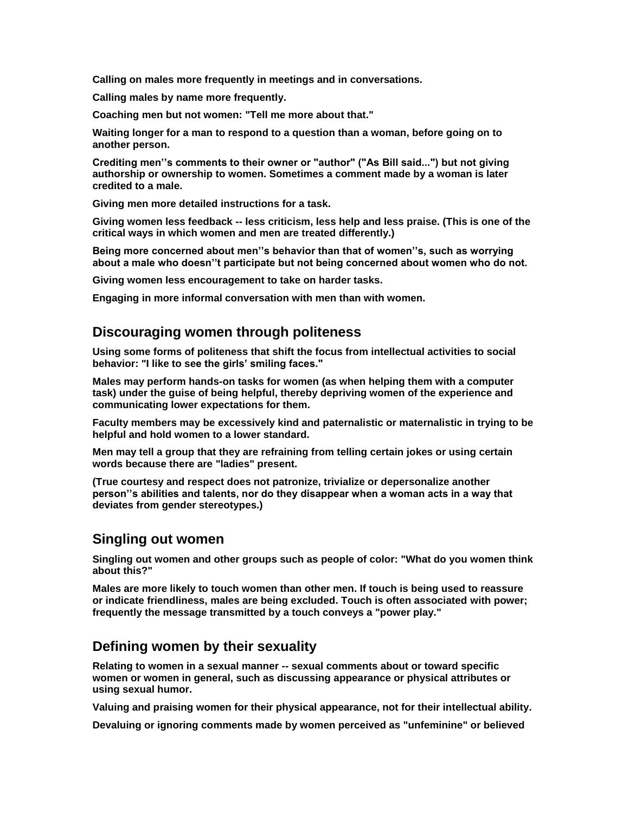**Calling on males more frequently in meetings and in conversations.**

**Calling males by name more frequently.**

**Coaching men but not women: "Tell me more about that."**

**Waiting longer for a man to respond to a question than a woman, before going on to another person.**

**Crediting men''s comments to their owner or "author" ("As Bill said...") but not giving authorship or ownership to women. Sometimes a comment made by a woman is later credited to a male.**

**Giving men more detailed instructions for a task.**

**Giving women less feedback -- less criticism, less help and less praise. (This is one of the critical ways in which women and men are treated differently.)**

**Being more concerned about men''s behavior than that of women''s, such as worrying about a male who doesn''t participate but not being concerned about women who do not.**

**Giving women less encouragement to take on harder tasks.**

**Engaging in more informal conversation with men than with women.**

## **Discouraging women through politeness**

**Using some forms of politeness that shift the focus from intellectual activities to social behavior: "I like to see the girls' smiling faces."**

**Males may perform hands-on tasks for women (as when helping them with a computer task) under the guise of being helpful, thereby depriving women of the experience and communicating lower expectations for them.**

**Faculty members may be excessively kind and paternalistic or maternalistic in trying to be helpful and hold women to a lower standard.**

**Men may tell a group that they are refraining from telling certain jokes or using certain words because there are "ladies" present.** 

**(True courtesy and respect does not patronize, trivialize or depersonalize another person''s abilities and talents, nor do they disappear when a woman acts in a way that deviates from gender stereotypes.)**

### **Singling out women**

**Singling out women and other groups such as people of color: "What do you women think about this?"**

**Males are more likely to touch women than other men. If touch is being used to reassure or indicate friendliness, males are being excluded. Touch is often associated with power; frequently the message transmitted by a touch conveys a "power play."**

### **Defining women by their sexuality**

**Relating to women in a sexual manner -- sexual comments about or toward specific women or women in general, such as discussing appearance or physical attributes or using sexual humor.**

**Valuing and praising women for their physical appearance, not for their intellectual ability.**

**Devaluing or ignoring comments made by women perceived as "unfeminine" or believed**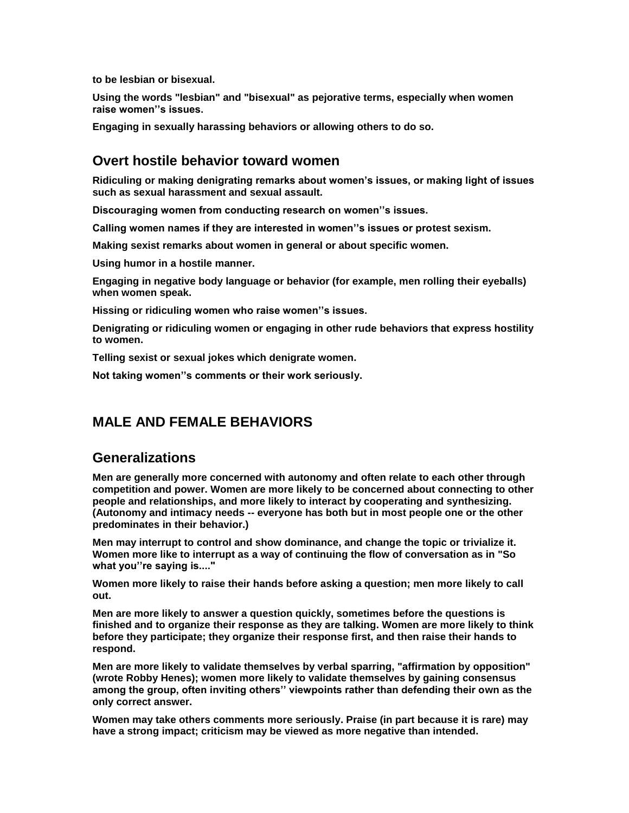**to be lesbian or bisexual.**

**Using the words "lesbian" and "bisexual" as pejorative terms, especially when women raise women''s issues.**

**Engaging in sexually harassing behaviors or allowing others to do so.**

## **Overt hostile behavior toward women**

**Ridiculing or making denigrating remarks about women's issues, or making light of issues such as sexual harassment and sexual assault.**

**Discouraging women from conducting research on women''s issues.**

**Calling women names if they are interested in women''s issues or protest sexism.**

**Making sexist remarks about women in general or about specific women.**

**Using humor in a hostile manner.**

**Engaging in negative body language or behavior (for example, men rolling their eyeballs) when women speak.**

**Hissing or ridiculing women who raise women''s issues.**

**Denigrating or ridiculing women or engaging in other rude behaviors that express hostility to women.**

**Telling sexist or sexual jokes which denigrate women.**

**Not taking women''s comments or their work seriously.**

# **MALE AND FEMALE BEHAVIORS**

#### **Generalizations**

**Men are generally more concerned with autonomy and often relate to each other through competition and power. Women are more likely to be concerned about connecting to other people and relationships, and more likely to interact by cooperating and synthesizing. (Autonomy and intimacy needs -- everyone has both but in most people one or the other predominates in their behavior.)**

**Men may interrupt to control and show dominance, and change the topic or trivialize it. Women more like to interrupt as a way of continuing the flow of conversation as in "So what you''re saying is...."**

**Women more likely to raise their hands before asking a question; men more likely to call out.**

**Men are more likely to answer a question quickly, sometimes before the questions is finished and to organize their response as they are talking. Women are more likely to think before they participate; they organize their response first, and then raise their hands to respond.**

**Men are more likely to validate themselves by verbal sparring, "affirmation by opposition" (wrote Robby Henes); women more likely to validate themselves by gaining consensus among the group, often inviting others'' viewpoints rather than defending their own as the only correct answer.**

**Women may take others comments more seriously. Praise (in part because it is rare) may have a strong impact; criticism may be viewed as more negative than intended.**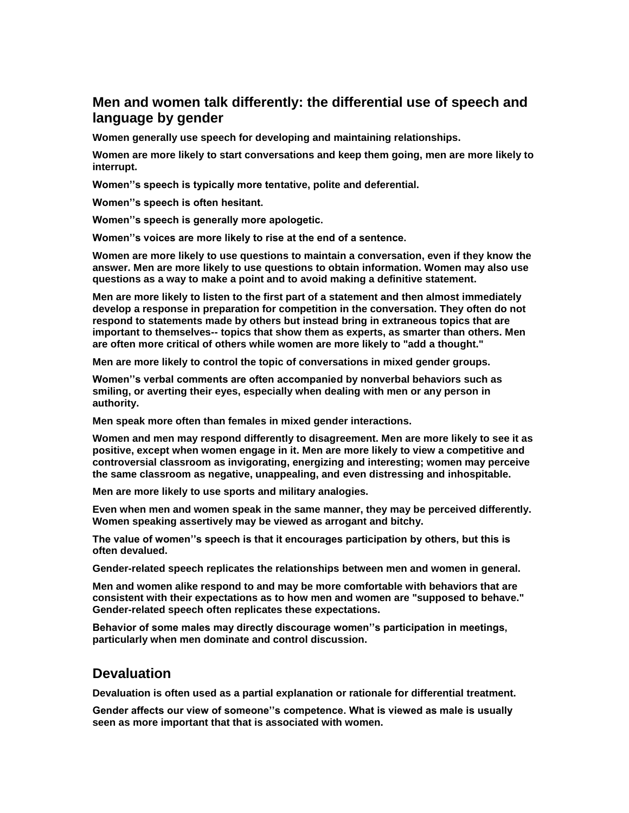## **Men and women talk differently: the differential use of speech and language by gender**

**Women generally use speech for developing and maintaining relationships.**

**Women are more likely to start conversations and keep them going, men are more likely to interrupt.**

**Women''s speech is typically more tentative, polite and deferential.**

**Women''s speech is often hesitant.**

**Women''s speech is generally more apologetic.**

**Women''s voices are more likely to rise at the end of a sentence.**

**Women are more likely to use questions to maintain a conversation, even if they know the answer. Men are more likely to use questions to obtain information. Women may also use questions as a way to make a point and to avoid making a definitive statement.**

**Men are more likely to listen to the first part of a statement and then almost immediately develop a response in preparation for competition in the conversation. They often do not respond to statements made by others but instead bring in extraneous topics that are important to themselves-- topics that show them as experts, as smarter than others. Men are often more critical of others while women are more likely to "add a thought."**

**Men are more likely to control the topic of conversations in mixed gender groups.**

**Women''s verbal comments are often accompanied by nonverbal behaviors such as smiling, or averting their eyes, especially when dealing with men or any person in authority.**

**Men speak more often than females in mixed gender interactions.**

**Women and men may respond differently to disagreement. Men are more likely to see it as positive, except when women engage in it. Men are more likely to view a competitive and controversial classroom as invigorating, energizing and interesting; women may perceive the same classroom as negative, unappealing, and even distressing and inhospitable.**

**Men are more likely to use sports and military analogies.**

**Even when men and women speak in the same manner, they may be perceived differently. Women speaking assertively may be viewed as arrogant and bitchy.**

**The value of women''s speech is that it encourages participation by others, but this is often devalued.**

**Gender-related speech replicates the relationships between men and women in general.**

**Men and women alike respond to and may be more comfortable with behaviors that are consistent with their expectations as to how men and women are "supposed to behave." Gender-related speech often replicates these expectations.**

**Behavior of some males may directly discourage women''s participation in meetings, particularly when men dominate and control discussion.**

#### **Devaluation**

**Devaluation is often used as a partial explanation or rationale for differential treatment.**

**Gender affects our view of someone''s competence. What is viewed as male is usually seen as more important that that is associated with women.**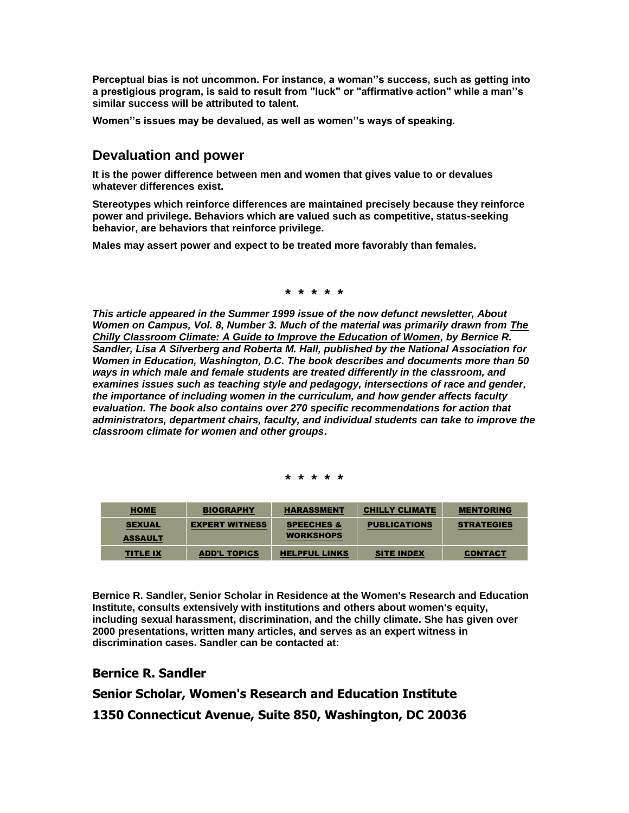**Perceptual bias is not uncommon. For instance, a woman''s success, such as getting into a prestigious program, is said to result from "luck" or "affirmative action" while a man''s similar success will be attributed to talent.**

**Women''s issues may be devalued, as well as women''s ways of speaking.**

# **Devaluation and power**

**It is the power difference between men and women that gives value to or devalues whatever differences exist.**

**Stereotypes which reinforce differences are maintained precisely because they reinforce power and privilege. Behaviors which are valued such as competitive, status-seeking behavior, are behaviors that reinforce privilege.**

**Males may assert power and expect to be treated more favorably than females.**

**\* \* \* \* \***

*This article appeared in the Summer 1999 issue of the now defunct newsletter, About Women on Campus, Vol. 8, Number 3. Much of the material was primarily drawn from [The](http://www.bernicesandler.com/id12.htm)  [Chilly Classroom Climate: A Guide to Improve the Education of Women,](http://www.bernicesandler.com/id12.htm) by Bernice R. Sandler, Lisa A Silverberg and Roberta M. Hall, published by the National Association for Women in Education, Washington, D.C. The book describes and documents more than 50 ways in which male and female students are treated differently in the classroom, and examines issues such as teaching style and pedagogy, intersections of race and gender, the importance of including women in the curriculum, and how gender affects faculty evaluation. The book also contains over 270 specific recommendations for action that administrators, department chairs, faculty, and individual students can take to improve the classroom climate for women and other groups***.**

**\* \* \* \* \***

| <b>HOME</b>                     | <b>BIOGRAPHY</b>      | <b>HARASSMENT</b>                         | <b>CHILLY CLIMATE</b> | <b>MENTORING</b>  |
|---------------------------------|-----------------------|-------------------------------------------|-----------------------|-------------------|
| <b>SEXUAL</b><br><b>ASSAULT</b> | <b>EXPERT WITNESS</b> | <b>SPEECHES &amp;</b><br><b>WORKSHOPS</b> | <b>PUBLICATIONS</b>   | <b>STRATEGIES</b> |
| <b>TITLE IX</b>                 | <b>ADD'L TOPICS</b>   | <b>HELPFUL LINKS</b>                      | <b>SITE INDEX</b>     | <b>CONTACT</b>    |

**Bernice R. Sandler, Senior Scholar in Residence at the Women's Research and Education Institute, consults extensively with institutions and others about women's equity, including sexual harassment, discrimination, and the chilly climate. She has given over 2000 presentations, written many articles, and serves as an expert witness in discrimination cases. Sandler can be contacted at:**

### **Bernice R. Sandler**

**Senior Scholar, Women's Research and Education Institute 1350 Connecticut Avenue, Suite 850, Washington, DC 20036**